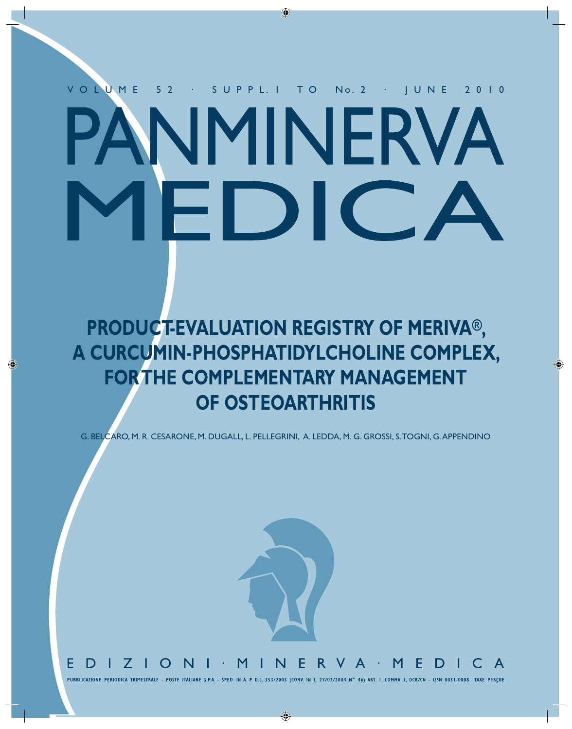# V O L U M E 5 2 · S U P P L. 1 T O No. 2 · J U N E 2 0 1 0 NMINERVA EDIC,

◈

**PRODUCT-EVALUATION REGISTRY OF MERIVA® , A CURCUMIN-PHOSPHATIDYLCHOLINE COMPLEX, FOR THE COMPLEMENTARY MANAGEMENT OF OSTEOARTHRITIS**

⊕

G. BELCARO, M. R. CESARONE, M. DUGALL, L. PELLEGRINI, A. LEDDA, M. G. GROSSI, S. TOGNI, G. APPENDINO



PUBBLICAZIONE PERIODICA TRIMESTRALE - POSTE ITALIANE S.P.A. - SPED. IN A. P. D.L. 353/2003 (CONV. IN L. 27/02/2004 N° 46) ART. I, COMMA I, DCB/CN - ISSN 0031-0808 TAXE PERCUE

 $\bigcirc$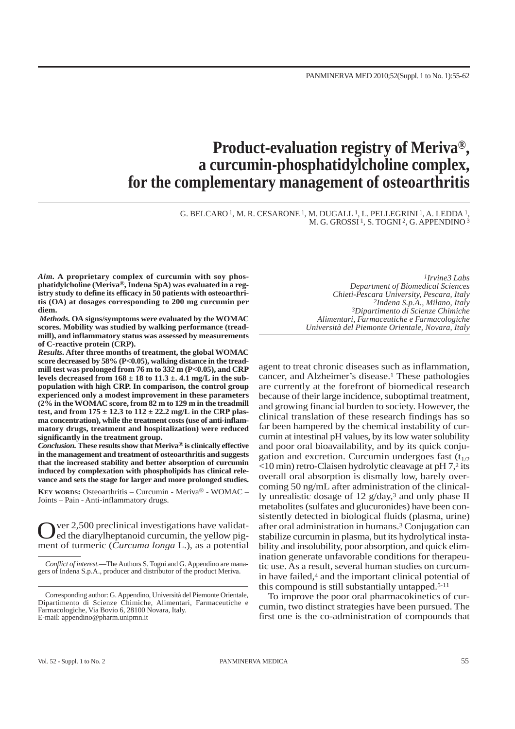## **Product-evaluation registry of Meriva® , a curcumin-phosphatidylcholine complex, for the complementary management of osteoarthritis**

G. BELCARO 1, M. R. CESARONE 1, M. DUGALL 1, L. PELLEGRINI 1, A. LEDDA 1, M. G. GROSSI<sup>1</sup>, S. TOGNI<sup>2</sup>, G. APPENDINO<sup>3</sup>

*Aim.* **A proprietary complex of curcumin with soy phosphatidylcholine (Meriva®, Indena SpA) was evaluated in a registry study to define its efficacy in 50 patients with osteoarthritis (OA) at dosages corresponding to 200 mg curcumin per diem.** 

*Methods.* **OA signs/symptoms were evaluated by the WOMAC scores. Mobility was studied by walking performance (treadmill), and inflammatory status was assessed by measurements of C-reactive protein (CRP).** 

*Results.* **After three months of treatment, the global WOMAC score decreased by 58% (P<0.05), walking distance in the treadmill test was prolonged from 76 m to 332 m (P<0.05), and CRP levels decreased from 168 ± 18 to 11.3 ±. 4.1 mg/L in the subpopulation with high CRP. In comparison, the control group experienced only a modest improvement in these parameters (2% in the WOMAC score, from 82 m to 129 m in the treadmill test, and from 175 ± 12.3 to 112 ± 22.2 mg/L in the CRP plasma concentration), while the treatment costs (use of anti-inflammatory drugs, treatment and hospitalization) were reduced significantly in the treatment group.**

*Conclusion.* **These results show that Meriva® is clinically effective in the management and treatment of osteoarthritis and suggests that the increased stability and better absorption of curcumin induced by complexation with phospholipids has clinical relevance and sets the stage for larger and more prolonged studies.**

**KEY WORDS:** Osteoarthritis – Curcumin - Meriva® - WOMAC – Joints – Pain - Anti-inflammatory drugs.

Over 2,500 preclinical investigations have validated del diarylheptanoid curcumin, the yellow pigment of turmeric (*Curcuma longa* L.), as a potential

*Conflict of interest.*—The Authors S. Togni and G. Appendino are managers of Indena S.p.A., producer and distributor of the product Meriva.

*1Irvine3 Labs Department of Biomedical Sciences Chieti-Pescara University, Pescara, Italy 2Indena S.p.A., Milano, Italy 3Dipartimento di Scienze Chimiche Alimentari, Farmaceutiche e Farmacologiche Università del Piemonte Orientale, Novara, Italy*

agent to treat chronic diseases such as inflammation, cancer, and Alzheimer's disease.1 These pathologies are currently at the forefront of biomedical research because of their large incidence, suboptimal treatment, and growing financial burden to society. However, the clinical translation of these research findings has so far been hampered by the chemical instability of curcumin at intestinal pH values, by its low water solubility and poor oral bioavailability, and by its quick conjugation and excretion. Curcumin undergoes fast  $(t_{1/2})$ <10 min) retro-Claisen hydrolytic cleavage at pH 7,2 its overall oral absorption is dismally low, barely overcoming 50 ng/mL after administration of the clinically unrealistic dosage of 12 g/day,3 and only phase II metabolites (sulfates and glucuronides) have been consistently detected in biological fluids (plasma, urine) after oral administration in humans.3 Conjugation can stabilize curcumin in plasma, but its hydrolytical instability and insolubility, poor absorption, and quick elimination generate unfavorable conditions for therapeutic use. As a result, several human studies on curcumin have failed,<sup>4</sup> and the important clinical potential of this compound is still substantially untapped.5-11

To improve the poor oral pharmacokinetics of curcumin, two distinct strategies have been pursued. The first one is the co-administration of compounds that

Corresponding author: G. Appendino, Università del Piemonte Orientale, Dipartimento di Scienze Chimiche, Alimentari, Farmaceutiche e Farmacologiche, Via Bovio 6, 28100 Novara, Italy. E-mail: appendino@pharm.unipmn.it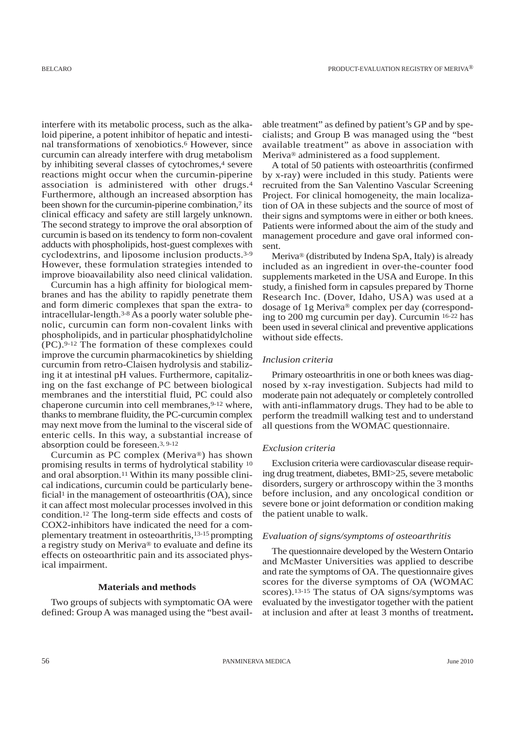interfere with its metabolic process, such as the alkaloid piperine, a potent inhibitor of hepatic and intestinal transformations of xenobiotics.6 However, since curcumin can already interfere with drug metabolism by inhibiting several classes of cytochromes,<sup>4</sup> severe reactions might occur when the curcumin-piperine association is administered with other drugs.4 Furthermore, although an increased absorption has been shown for the curcumin-piperine combination,<sup>7</sup> its clinical efficacy and safety are still largely unknown. The second strategy to improve the oral absorption of curcumin is based on its tendency to form non-covalent adducts with phospholipids, host-guest complexes with cyclodextrins, and liposome inclusion products.3-9 However, these formulation strategies intended to improve bioavailability also need clinical validation.

Curcumin has a high affinity for biological membranes and has the ability to rapidly penetrate them and form dimeric complexes that span the extra- to intracellular-length.3-8As a poorly water soluble phenolic, curcumin can form non-covalent links with phospholipids, and in particular phosphatidylcholine (PC).9-12 The formation of these complexes could improve the curcumin pharmacokinetics by shielding curcumin from retro-Claisen hydrolysis and stabilizing it at intestinal pH values. Furthermore, capitalizing on the fast exchange of PC between biological membranes and the interstitial fluid, PC could also chaperone curcumin into cell membranes, 9-12 where, thanks to membrane fluidity, the PC-curcumin complex may next move from the luminal to the visceral side of enteric cells. In this way, a substantial increase of absorption could be foreseen.3, 9-12

Curcumin as PC complex (Meriva®) has shown promising results in terms of hydrolytical stability 10 and oral absorption.11 Within its many possible clinical indications, curcumin could be particularly beneficial<sup>1</sup> in the management of osteoarthritis  $(OA)$ , since it can affect most molecular processes involved in this condition.12 The long-term side effects and costs of COX2-inhibitors have indicated the need for a complementary treatment in osteoarthritis,13-15 prompting a registry study on Meriva® to evaluate and define its effects on osteoarthritic pain and its associated physical impairment.

#### **Materials and methods**

Two groups of subjects with symptomatic OA were defined: Group A was managed using the "best available treatment" as defined by patient's GP and by specialists; and Group B was managed using the "best available treatment" as above in association with Meriva® administered as a food supplement.

A total of 50 patients with osteoarthritis (confirmed by x-ray) were included in this study. Patients were recruited from the San Valentino Vascular Screening Project. For clinical homogeneity, the main localization of OA in these subjects and the source of most of their signs and symptoms were in either or both knees. Patients were informed about the aim of the study and management procedure and gave oral informed consent.

Meriva® (distributed by Indena SpA, Italy) is already included as an ingredient in over-the-counter food supplements marketed in the USA and Europe. In this study, a finished form in capsules prepared by Thorne Research Inc. (Dover, Idaho, USA) was used at a dosage of 1g Meriva® complex per day (corresponding to 200 mg curcumin per day). Curcumin 16-22 has been used in several clinical and preventive applications without side effects.

#### *Inclusion criteria*

Primary osteoarthritis in one or both knees was diagnosed by x-ray investigation. Subjects had mild to moderate pain not adequately or completely controlled with anti-inflammatory drugs. They had to be able to perform the treadmill walking test and to understand all questions from the WOMAC questionnaire.

#### *Exclusion criteria*

Exclusion criteria were cardiovascular disease requiring drug treatment, diabetes, BMI>25, severe metabolic disorders, surgery or arthroscopy within the 3 months before inclusion, and any oncological condition or severe bone or joint deformation or condition making the patient unable to walk.

#### *Evaluation of signs/symptoms of osteoarthritis*

The questionnaire developed by the Western Ontario and McMaster Universities was applied to describe and rate the symptoms of OA. The questionnaire gives scores for the diverse symptoms of OA (WOMAC scores).13-15 The status of OA signs/symptoms was evaluated by the investigator together with the patient at inclusion and after at least 3 months of treatment**.**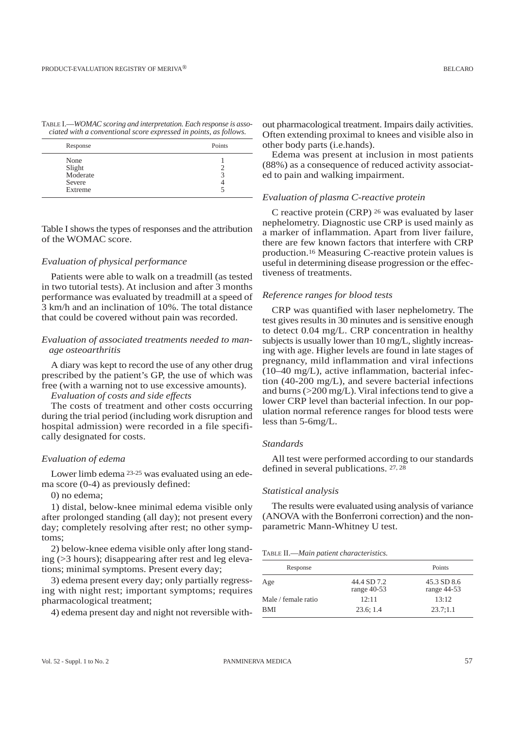| TABLE I.—WOMAC scoring and interpretation. Each response is asso- |  |  |  |
|-------------------------------------------------------------------|--|--|--|
| ciated with a conventional score expressed in points, as follows. |  |  |  |

| Response                                        | Points |
|-------------------------------------------------|--------|
| None<br>Slight<br>Moderate<br>Severe<br>Extreme |        |

Table I shows the types of responses and the attribution of the WOMAC score.

#### *Evaluation of physical performance*

Patients were able to walk on a treadmill (as tested in two tutorial tests). At inclusion and after 3 months performance was evaluated by treadmill at a speed of 3 km/h and an inclination of 10%. The total distance that could be covered without pain was recorded.

#### *Evaluation of associated treatments needed to manage osteoarthritis*

A diary was kept to record the use of any other drug prescribed by the patient's GP, the use of which was free (with a warning not to use excessive amounts).

#### *Evaluation of costs and side effects*

The costs of treatment and other costs occurring during the trial period (including work disruption and hospital admission) were recorded in a file specifically designated for costs.

#### *Evaluation of edema*

Lower limb edema 23-25 was evaluated using an edema score (0-4) as previously defined:

0) no edema;

1) distal, below-knee minimal edema visible only after prolonged standing (all day); not present every day; completely resolving after rest; no other symptoms;

2) below-knee edema visible only after long standing (>3 hours); disappearing after rest and leg elevations; minimal symptoms. Present every day;

3) edema present every day; only partially regressing with night rest; important symptoms; requires pharmacological treatment;

4) edema present day and night not reversible with-

out pharmacological treatment. Impairs daily activities. Often extending proximal to knees and visible also in other body parts (i.e.hands).

Edema was present at inclusion in most patients (88%) as a consequence of reduced activity associated to pain and walking impairment.

#### *Evaluation of plasma C-reactive protein*

C reactive protein (CRP) 26 was evaluated by laser nephelometry. Diagnostic use CRP is used mainly as a marker of inflammation. Apart from liver failure, there are few known factors that interfere with CRP production.16 Measuring C-reactive protein values is useful in determining disease progression or the effectiveness of treatments.

#### *Reference ranges for blood tests*

CRP was quantified with laser nephelometry. The test gives results in 30 minutes and is sensitive enough to detect 0.04 mg/L. CRP concentration in healthy subjects is usually lower than 10 mg/L, slightly increasing with age. Higher levels are found in late stages of pregnancy, mild inflammation and viral infections (10–40 mg/L), active inflammation, bacterial infection (40-200 mg/L), and severe bacterial infections and burns  $(>=200 \text{ mg/L})$ . Viral infections tend to give a lower CRP level than bacterial infection. In our population normal reference ranges for blood tests were less than 5-6mg/L.

#### *Standards*

All test were performed according to our standards defined in several publications. 27, 28

#### *Statistical analysis*

The results were evaluated using analysis of variance (ANOVA with the Bonferroni correction) and the nonparametric Mann-Whitney U test.

#### TABLE II.—*Main patient characteristics.*

| Response            |                              | Points                       |
|---------------------|------------------------------|------------------------------|
| Age                 | 44.4 SD 7.2<br>range $40-53$ | 45.3 SD 8.6<br>range $44-53$ |
| Male / female ratio | 12:11                        | 13:12                        |
| BMI                 | 23.6; 1.4                    | 23.7:1.1                     |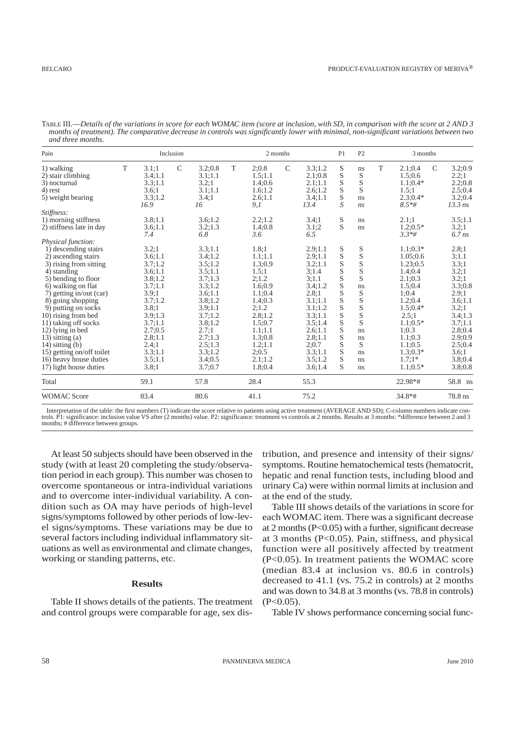| Pain                                                                                                                                                                                                                                                                                                                                                                                                                             | Inclusion |                                                                                                                                                                               |               |                                                                                                                                                                                       | 2 months |                                                                                                                                                                               |               | P <sub>1</sub>                                                                                                                                                                  | P2                                                                                                    | 3 months                                                                                |   |                                                                                                                                                                                                     |               |                                                                                                                                                                         |
|----------------------------------------------------------------------------------------------------------------------------------------------------------------------------------------------------------------------------------------------------------------------------------------------------------------------------------------------------------------------------------------------------------------------------------|-----------|-------------------------------------------------------------------------------------------------------------------------------------------------------------------------------|---------------|---------------------------------------------------------------------------------------------------------------------------------------------------------------------------------------|----------|-------------------------------------------------------------------------------------------------------------------------------------------------------------------------------|---------------|---------------------------------------------------------------------------------------------------------------------------------------------------------------------------------|-------------------------------------------------------------------------------------------------------|-----------------------------------------------------------------------------------------|---|-----------------------------------------------------------------------------------------------------------------------------------------------------------------------------------------------------|---------------|-------------------------------------------------------------------------------------------------------------------------------------------------------------------------|
| 1) walking<br>2) stair climbing<br>3) nocturnal<br>4) rest<br>5) weight bearing                                                                                                                                                                                                                                                                                                                                                  | T         | 3.1;1<br>3.4;1.1<br>3.3;1.1<br>3.6:1<br>3.3;1.2<br>16.9                                                                                                                       | $\mathcal{C}$ | 3.2;0.8<br>3.1;1.1<br>3.2;1<br>3.1;1.1<br>3.4;1<br>16                                                                                                                                 | T        | 2;0.8<br>1.5:1.1<br>1.4;0.6<br>1.6; 1.2<br>2.6:1.1<br>9,1                                                                                                                     | $\mathcal{C}$ | 3.3;1.2<br>2.1:0.8<br>2.1;1.1<br>2.6;1.2<br>3.4;1.1<br>13.4                                                                                                                     | S<br>S<br>S<br>S<br>S<br>S                                                                            | ns<br>S<br>S<br>S<br>ns<br>ns                                                           | T | 2.1;0.4<br>1.5:0.6<br>$1.1;0.4*$<br>1.5:1<br>$2.3:0.4*$<br>$8.5*$ #                                                                                                                                 | $\mathcal{C}$ | 3.2;0.9<br>2.2;1<br>2.2;0.8<br>2.5:0.4<br>3.2;0.4<br>$13.3$ ns                                                                                                          |
| Stiffness:<br>1) morning stiffness<br>2) stiffness late in day                                                                                                                                                                                                                                                                                                                                                                   |           | 3.8;1.1<br>3.6;1.1<br>7.4                                                                                                                                                     |               | 3.6:1.2<br>3.2;1.3<br>6.8                                                                                                                                                             |          | 2.2:1.2<br>1.4:0.8<br>3.6                                                                                                                                                     |               | 3.4:1<br>3.1:2<br>6.5                                                                                                                                                           | S<br>S                                                                                                | ns<br>ns                                                                                |   | 2.1:1<br>$1.2:0.5*$<br>$3.3*$ #                                                                                                                                                                     |               | 3.5;1.1<br>3.2;1<br>$6.7$ ns                                                                                                                                            |
| Physical function:<br>1) descending stairs<br>2) ascending stairs<br>3) rising from sitting<br>4) standing<br>5) bending to floor<br>6) walking on flat<br>7) getting in/out (car)<br>8) going shopping<br>9) putting on socks<br>10) rising from bed<br>11) taking off socks<br>12) lying in bed<br>$13)$ sitting $(a)$<br>$14)$ sitting $(b)$<br>15) getting on/off toilet<br>16) heavy house duties<br>17) light house duties |           | 3.2;1<br>3.6;1.1<br>3.7:1.2<br>3.6;1.1<br>3.8;1.2<br>3.7;1.1<br>3.9;1<br>3.7;1.2<br>3.8:1<br>3.9;1.3<br>3.7;1.1<br>2.7:0.5<br>2.8:1.1<br>2.4;1<br>3.3;1.1<br>3.5;1.1<br>3.8;1 |               | 3.3:1.1<br>3.4;1.2<br>3.5:1.2<br>3.5;1.1<br>3.7;1.3<br>3.3;1.2<br>3.6;1.1<br>3.8;1.2<br>3.9:1.1<br>3.7;1.2<br>3.8:1.2<br>2.7:1<br>2.7:1.3<br>2.5;1.3<br>3.3;1.2<br>3.4;0.5<br>3.7;0.7 |          | 1.8:1<br>1.1;1.1<br>1.3:0.9<br>1.5:1<br>2;1.2<br>1.6:0.9<br>1.1;0.4<br>1.4:0.3<br>2:1.2<br>2.8:1.2<br>1.5:0.7<br>1.1:1.1<br>1.3:0.8<br>1.2;1.1<br>2;0.5<br>2.1:1.2<br>1.8:0.4 |               | 2.9;1.1<br>2.9;1.1<br>3.2;1.1<br>3:1.4<br>3;1.1<br>3.4;1.2<br>2.8;1<br>3.1;1.1<br>3.1;1.2<br>3.3;1.1<br>3.5:1.4<br>2.6:1.1<br>2.8;1.1<br>2;0.7<br>3.3;1.1<br>3.5:1.2<br>3.6;1.4 | S<br>S<br>S<br>S<br>S<br>$\mathbf S$<br>S<br>S<br>S<br>S<br>S<br>S<br>S<br>S<br>$\mathbf S$<br>S<br>S | S<br>S<br>S<br>S<br>S<br>ns<br>S<br>S<br>S<br>S<br>S<br>ns<br>ns<br>S<br>ns<br>ns<br>ns |   | $1.1:0.3*$<br>1.05;0.6<br>1.23;0.5<br>1.4;0.4<br>2.1:0.3<br>1.5:0.4<br>1;0.4<br>1.2;0.4<br>$1.5:0.4*$<br>2.5:1<br>$1.1;0.5*$<br>1:0.3<br>1.1;0.3<br>1.1;0.5<br>$1.3:0.3*$<br>$1.7:1*$<br>$1.1;0.5*$ |               | 2.8;1<br>3:1.1<br>3.3;1<br>3.2;1<br>3.2;1<br>3.3;0.8<br>2.9;1<br>3.6;1.1<br>3.2;1<br>3.4;1.3<br>3.7;1.1<br>2.8:0.4<br>2.9;0.9<br>2.5;0.4<br>3.6;1<br>3.8;0.4<br>3.8;0.8 |
| Total                                                                                                                                                                                                                                                                                                                                                                                                                            |           | 59.1                                                                                                                                                                          |               | 57.8                                                                                                                                                                                  |          | 28.4                                                                                                                                                                          |               | 55.3                                                                                                                                                                            |                                                                                                       |                                                                                         |   | 22.98*#                                                                                                                                                                                             |               | 58.8 ns                                                                                                                                                                 |
| <b>WOMAC Score</b>                                                                                                                                                                                                                                                                                                                                                                                                               |           | 83.4                                                                                                                                                                          |               | 80.6                                                                                                                                                                                  |          | 41.1                                                                                                                                                                          |               | 75.2                                                                                                                                                                            |                                                                                                       |                                                                                         |   | $34.8*$ #                                                                                                                                                                                           |               | 78.8 ns                                                                                                                                                                 |

TABLE III.—*Details of the variations in score for each WOMAC item (score at inclusion, with SD, in comparison with the score at 2 AND 3 months of treatment). The comparative decrease in controls was significantly lower with minimal, non-significant variations between two and three months.* 

Interpretation of the table: the first numbers (T) indicate the score relative to patients using active treatment (AVERAGE AND SD); C-column numbers indicate controls. P1: significance: inclusion value VS after (2 months) value. P2: significance: treatment vs controls at 2 months. Results at 3 months: \*difference between 2 and 3 months; # difference between groups.

At least 50 subjects should have been observed in the study (with at least 20 completing the study/observation period in each group). This number was chosen to overcome spontaneous or intra-individual variations and to overcome inter-individual variability. A condition such as OA may have periods of high-level signs/symptoms followed by other periods of low-level signs/symptoms. These variations may be due to several factors including individual inflammatory situations as well as environmental and climate changes, working or standing patterns, etc.

### **Results**

Table II shows details of the patients. The treatment and control groups were comparable for age, sex distribution, and presence and intensity of their signs/ symptoms. Routine hematochemical tests (hematocrit, hepatic and renal function tests, including blood and urinary Ca) were within normal limits at inclusion and at the end of the study.

Table III shows details of the variations in score for each WOMAC item. There was a significant decrease at 2 months ( $P<0.05$ ) with a further, significant decrease at 3 months (P<0.05). Pain, stiffness, and physical function were all positively affected by treatment (P<0.05). In treatment patients the WOMAC score (median 83.4 at inclusion vs. 80.6 in controls) decreased to 41.1 (vs. 75.2 in controls) at 2 months and was down to 34.8 at 3 months (vs. 78.8 in controls)  $(P<0.05)$ .

Table IV shows performance concerning social func-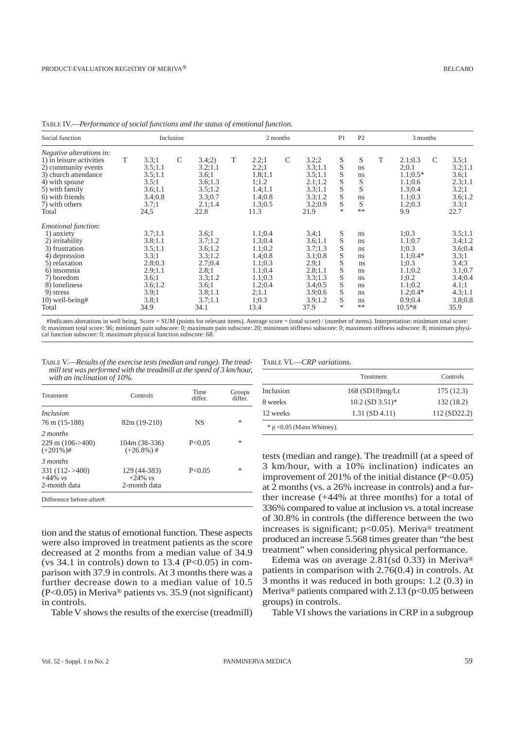| Social function                                                                                                                                                                                          | Inclusion |                                                                                                            |               |                                                                                                              | 2 months |                                                                                                                |              | P <sub>1</sub>                                                                                                 | P <sub>2</sub>                                      | 3 months                                                                         |   |                                                                                                                       |   |                                                                                                              |
|----------------------------------------------------------------------------------------------------------------------------------------------------------------------------------------------------------|-----------|------------------------------------------------------------------------------------------------------------|---------------|--------------------------------------------------------------------------------------------------------------|----------|----------------------------------------------------------------------------------------------------------------|--------------|----------------------------------------------------------------------------------------------------------------|-----------------------------------------------------|----------------------------------------------------------------------------------|---|-----------------------------------------------------------------------------------------------------------------------|---|--------------------------------------------------------------------------------------------------------------|
| <i>Negative alterations in:</i><br>1) in leisure activities<br>2) community events<br>3) church attendance<br>4) with spouse<br>5) with family<br>6) with friends<br>7) with others<br>Total             | T         | 3.3:1<br>3.5;1.1<br>3.5;1.1<br>3.5:1<br>3.6;1.1<br>3.4;0.8<br>3.7:1<br>24,5                                | $\mathcal{C}$ | 3.4(2)<br>3.2;1.1<br>3.6:1<br>3.6:1.3<br>3.5;1.2<br>3.3;0.7<br>2.1:1.4<br>22.8                               | T        | 2.2:1<br>2.2:1<br>1.8:1.1<br>1:1.2<br>1.4;1.1<br>1.4:0.8<br>1.3:0.5<br>11.3                                    | $\mathsf{C}$ | 3.2;2<br>3.3;1.1<br>3.5;1.1<br>2.1;1.2<br>3.3;1.1<br>3.3;1.2<br>3.2;0.9<br>21.9                                | S<br>S<br>S<br>S<br>S<br>S<br>S<br>*                | S<br>ns<br>ns<br>S<br>S<br>ns<br>S<br>$**$                                       | T | 2.1;0.3<br>2:0.1<br>$1.1;0.5*$<br>1.1;0.6<br>1.3:0.4<br>1.1;0.3<br>1.2;0.3<br>9.9                                     | C | 3.5;1<br>3.2;1.1<br>3.6;1<br>2.3:1.1<br>3.2;1<br>3.6;1.2<br>3.3;1<br>22.7                                    |
| <i>Emotional function:</i><br>1) anxiety<br>2) irritability<br>3) frustration<br>4) depression<br>5) relaxation<br>6) insomnia<br>7) boredom<br>8) loneliness<br>9) stress<br>$10)$ well-being#<br>Total |           | 3.7;1.1<br>3.8;1.1<br>3.5;1.1<br>3.3:1<br>2.8:0.3<br>2.9;1.1<br>3.6:1<br>3.6;1.2<br>3.9;1<br>3.8;1<br>34.9 |               | 3.6:1<br>3.7:1.2<br>3.6;1.2<br>3.3;1.2<br>2.7:0.4<br>2.8:1<br>3.3:1.2<br>3.6:1<br>3.8:1.1<br>3.7:1.1<br>34.1 |          | 1.1;0.4<br>1.3:0.4<br>1.1;0.2<br>1.4:0.8<br>1.1;0.3<br>1.1;0.4<br>1.1;0.3<br>1.2;0.4<br>2:1.1<br>1:0.3<br>13.4 |              | 3.4;1<br>3.6;1.1<br>3.7:1.3<br>3.1;0.8<br>2.9:1<br>2.8:1.1<br>3.3:1.3<br>3.4:0.5<br>3.9;0.6<br>3.9:1.2<br>37.9 | S<br>S<br>S<br>S<br>S<br>S<br>S<br>S<br>S<br>S<br>* | ns.<br>ns.<br>ns.<br>ns.<br>ns.<br>ns.<br>ns<br>ns.<br>ns<br><sub>ns</sub><br>** |   | 1;0.3<br>1.1;0.7<br>1:0.3<br>$1.1;0.4*$<br>1:0.3<br>1.1;0.2<br>1:0.2<br>1.1;0.2<br>$1.2:0.4*$<br>0.9:0.4<br>$10.5*$ # |   | 3.5;1.1<br>3.4;1.2<br>3.6;0.4<br>3.3;1<br>3.4;3<br>3.1;0.7<br>3.4;0.4<br>4.1;1<br>4.3;1.1<br>3.8;0.8<br>35.9 |

#Indicates alterations in well being. Score = SUM (points for relevant items). Average score = (total score) / (number of items). Interpretation: minimum total score: 0; maximum total score: 96; minimum pain subscore: 0; maximum pain subscore: 20; minimum stiffness subscore: 0; maximum stiffness subscore: 8; minimum physical function subscore: 0; maximum physical function subscore: 68.

TABLE V.—*Results of the exercise tests (median and range). The treadmill test was performed with the treadmill at the speed of 3 km/hour, with an inclination of 10%.*

| Treatment                                                   | Controls                                   | Time<br>differ. | Groups<br>differ. |
|-------------------------------------------------------------|--------------------------------------------|-----------------|-------------------|
| <i>Inclusion</i><br>$76 \text{ m} (15-188)$                 | $82m(19-210)$                              | NS              | *                 |
|                                                             |                                            |                 |                   |
| 2 months<br>$229 \text{ m}$ (106->400)<br>$(+201\%)$ #      | 104m (38-336)<br>$(+26.8\%)$ #             | P < 0.05        | *                 |
| 3 months<br>$331(112 - 5400)$<br>$+44\%$ vs<br>2-month data | 129 (44-383)<br>$+24\%$ vs<br>2-month data | P < 0.05        | $\ast$            |
| Difference before-after#.                                   |                                            |                 |                   |

tion and the status of emotional function. These aspects were also improved in treatment patients as the score decreased at 2 months from a median value of 34.9 (vs  $34.1$  in controls) down to  $13.4$  (P<0.05) in comparison with 37.9 in controls. At 3 months there was a further decrease down to a median value of 10.5 (P<0.05) in Meriva® patients vs. 35.9 (not significant) in controls.

Table V shows the results of the exercise (treadmill)

TABLE VI.—*CRP variations.*

|                              | Treatment            | Controls     |
|------------------------------|----------------------|--------------|
| Inclusion                    | 168 (SD18)mg/Lt      | 175(12.3)    |
| 8 weeks                      | $10.2$ (SD $3.51$ )* | 132(18.2)    |
| 12 weeks                     | $1.31$ (SD $4.11$ )  | 112 (SD22.2) |
| $*$ p < 0.05 (Mann Whitney). |                      |              |

tests (median and range). The treadmill (at a speed of 3 km/hour, with a 10% inclination) indicates an improvement of 201% of the initial distance  $(P<0.05)$ at 2 months (vs. a 26% increase in controls) and a further increase (+44% at three months) for a total of 336% compared to value at inclusion vs. a total increase of 30.8% in controls (the difference between the two increases is significant;  $p<0.05$ ). Meriva<sup>®</sup> treatment produced an increase 5.568 times greater than "the best treatment" when considering physical performance.

Edema was on average 2.81(sd 0.33) in Meriva® patients in comparison with 2.76(0.4) in controls. At 3 months it was reduced in both groups: 1.2 (0.3) in Meriva® patients compared with  $2.13$  (p<0.05 between groups) in controls.

Table VI shows the variations in CRP in a subgroup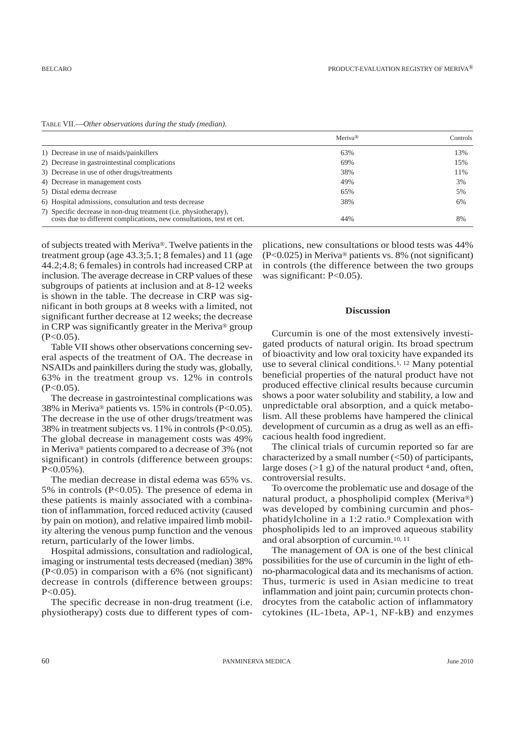|                                                                                                                                           | Meriya <sup>®</sup> | Controls |
|-------------------------------------------------------------------------------------------------------------------------------------------|---------------------|----------|
| 1) Decrease in use of nsaids/painkillers                                                                                                  | 63%                 | 13%      |
| 2) Decrease in gastrointestinal complications                                                                                             | 69%                 | 15%      |
| 3) Decrease in use of other drugs/treatments                                                                                              | 38%                 | 11%      |
| 4) Decrease in management costs                                                                                                           | 49%                 | 3%       |
| 5) Distal edema decrease                                                                                                                  | 65%                 | 5%       |
| 6) Hospital admissions, consultation and tests decrease                                                                                   | 38%                 | 6%       |
| 7) Specific decrease in non-drug treatment (i.e. physiotherapy),<br>costs due to different complications, new consultations, test et cet. | 44%                 | 8%       |

TABLE VII.—*Other observations during the study (median).*

of subjects treated with Meriva®. Twelve patients in the treatment group (age 43.3;5.1; 8 females) and 11 (age 44.2;4.8; 6 females) in controls had increased CRP at inclusion. The average decrease in CRP values of these subgroups of patients at inclusion and at 8-12 weeks is shown in the table. The decrease in CRP was significant in both groups at 8 weeks with a limited, not significant further decrease at 12 weeks; the decrease in CRP was significantly greater in the Meriva® group  $(P<0.05)$ .

Table VII shows other observations concerning several aspects of the treatment of OA. The decrease in NSAIDs and painkillers during the study was, globally, 63% in the treatment group vs. 12% in controls  $(P<0.05)$ .

The decrease in gastrointestinal complications was 38% in Meriva® patients vs. 15% in controls (P<0.05). The decrease in the use of other drugs/treatment was 38% in treatment subjects vs. 11% in controls (P<0.05). The global decrease in management costs was 49% in Meriva® patients compared to a decrease of 3% (not significant) in controls (difference between groups: P<0.05%).

The median decrease in distal edema was 65% vs. 5% in controls (P<0.05). The presence of edema in these patients is mainly associated with a combination of inflammation, forced reduced activity (caused by pain on motion), and relative impaired limb mobility altering the venous pump function and the venous return, particularly of the lower limbs.

Hospital admissions, consultation and radiological, imaging or instrumental tests decreased (median) 38% (P<0.05) in comparison with a 6% (not significant) decrease in controls (difference between groups:  $P < 0.05$ ).

The specific decrease in non-drug treatment (i.e. physiotherapy) costs due to different types of complications, new consultations or blood tests was 44% (P<0.025) in Meriva® patients vs. 8% (not significant) in controls (the difference between the two groups was significant: P<0.05).

#### **Discussion**

Curcumin is one of the most extensively investigated products of natural origin. Its broad spectrum of bioactivity and low oral toxicity have expanded its use to several clinical conditions.1, 12 Many potential beneficial properties of the natural product have not produced effective clinical results because curcumin shows a poor water solubility and stability, a low and unpredictable oral absorption, and a quick metabolism. All these problems have hampered the clinical development of curcumin as a drug as well as an efficacious health food ingredient.

The clinical trials of curcumin reported so far are characterized by a small number  $(<50)$  of participants, large doses  $(>1 \text{ g})$  of the natural product  $4$  and, often, controversial results.

To overcome the problematic use and dosage of the natural product, a phospholipid complex (Meriva®) was developed by combining curcumin and phosphatidylcholine in a 1:2 ratio.9 Complexation with phospholipids led to an improved aqueous stability and oral absorption of curcumin.10, 11

The management of OA is one of the best clinical possibilities for the use of curcumin in the light of ethno-pharmacological data and its mechanisms of action. Thus, turmeric is used in Asian medicine to treat inflammation and joint pain; curcumin protects chondrocytes from the catabolic action of inflammatory cytokines (IL-1beta, AP-1, NF-kB) and enzymes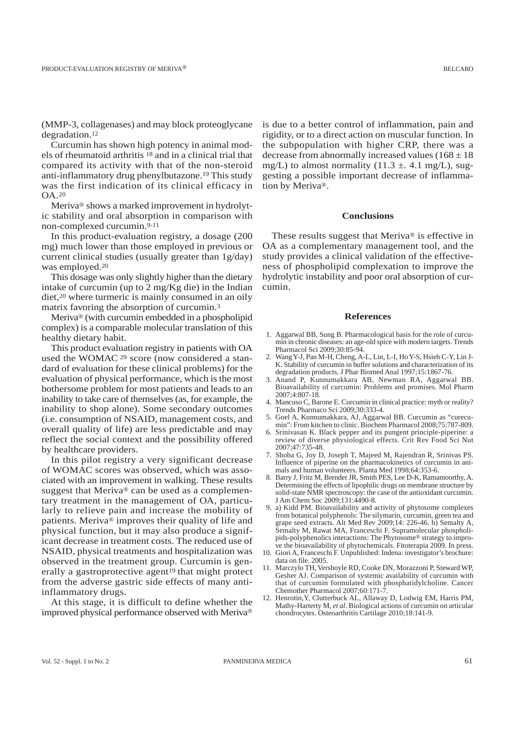(MMP-3, collagenases) and may block proteoglycane degradation.12

Curcumin has shown high potency in animal models of rheumatoid arthritis 18 and in a clinical trial that compared its activity with that of the non-steroid anti-inflammatory drug phenylbutazone.19 This study was the first indication of its clinical efficacy in OA.20

Meriva® shows a marked improvement in hydrolytic stability and oral absorption in comparison with non-complexed curcumin.9-11

In this product-evaluation registry, a dosage (200 mg) much lower than those employed in previous or current clinical studies (usually greater than 1g/day) was employed.20

This dosage was only slightly higher than the dietary intake of curcumin (up to 2 mg/Kg die) in the Indian diet,20 where turmeric is mainly consumed in an oily matrix favoring the absorption of curcumin.3

Meriva® (with curcumin embedded in a phospholipid complex) is a comparable molecular translation of this healthy dietary habit.

This product evaluation registry in patients with OA used the WOMAC <sup>29</sup> score (now considered a standard of evaluation for these clinical problems) for the evaluation of physical performance, which is the most bothersome problem for most patients and leads to an inability to take care of themselves (as, for example, the inability to shop alone). Some secondary outcomes (i.e. consumption of NSAID, management costs, and overall quality of life) are less predictable and may reflect the social context and the possibility offered by healthcare providers.

In this pilot registry a very significant decrease of WOMAC scores was observed, which was associated with an improvement in walking. These results suggest that Meriva® can be used as a complementary treatment in the management of OA, particularly to relieve pain and increase the mobility of patients. Meriva® improves their quality of life and physical function, but it may also produce a significant decrease in treatment costs. The reduced use of NSAID, physical treatments and hospitalization was observed in the treatment group. Curcumin is generally a gastroprotective agent<sup>19</sup> that might protect from the adverse gastric side effects of many antiinflammatory drugs.

At this stage, it is difficult to define whether the improved physical performance observed with Meriva® is due to a better control of inflammation, pain and rigidity, or to a direct action on muscular function. In the subpopulation with higher CRP, there was a decrease from abnormally increased values  $(168 \pm 18)$ mg/L) to almost normality  $(11.3 \pm .4.1 \text{ mg/L})$ , suggesting a possible important decrease of inflammation by Meriva®.

#### **Conclusions**

These results suggest that Meriva® is effective in OA as a complementary management tool, and the study provides a clinical validation of the effectiveness of phospholipid complexation to improve the hydrolytic instability and poor oral absorption of curcumin.

#### **References**

- 1. Aggarwal BB, Sung B. Pharmacological basis for the role of curcumin in chronic diseases: an age-old spice with modern targets. Trends Pharmacol Sci 2009;30:85-94.
- 2. Wang Y-J, Pan M-H, Cheng, A-L, Lin, L-I, Ho Y-S, Hsieh C-Y, Lin J-K. Stability of curcumin in buffer solutions and characterization of its degradation products. J Phar Biomed Anal 1997;15:1867-76.
- 3. Anand P, Kunnumakkara AB, Newman RA, Aggarwal BB. Bioavailability of curcumin: Problems and promises. Mol Pharm 2007;4:807-18.
- 4. Mancuso C, Barone E. Curcumin in clinical practice: myth or reality? Trends Pharmaco Sci 2009;30:333-4.
- 5. Goel A, Kunnumakkara, AJ, Aggarwal BB. Curcumin as "curecumin": From kitchen to clinic. Biochem Pharmacol 2008;75:787-809.
- 6. Srinivasan K. Black pepper and its pungent principle-piperine: a review of diverse physiological effects. Crit Rev Food Sci Nut 2007;47:735-48.
- 7. Shoba G, Joy D, Joseph T, Majeed M, Rajendran R, Srinivas PS. Influence of piperine on the pharmacokinetics of curcumin in animals and human volunteers. Planta Med 1998;64:353-6.
- 8. Barry J, Fritz M, Brender JR, Smith PES, Lee D-K, Ramamoorthy, A. Determining the effects of lipophilic drugs on membrane structure by solid-state NMR spectroscopy: the case of the antioxidant curcumin. J Am Chem Soc 2009;131:4490-8.
- 9. a) Kidd PM. Bioavailability and activity of phytosome complexes from botanical polyphenols: The silymarin, curcumin, green tea and grape seed extracts. Alt Med Rev 2009;14: 226-46. b) Semalty A, Semalty M, Rawat MA, Franceschi F. Supramolecular phospholipids-polyphenolics interactions: The Phytosome® strategy to improve the bioavailability of phytochemicals. Fitoterapia 2009. In press.
- 10. Giori A, Franceschi F. Unpublished: Indena: investigator's brochure: data on file. 2005.
- 11. Marczylo TH, Vershoyle RD, Cooke DN, Morazzoni P, Steward WP, Gesher AJ. Comparison of systemic availability of curcumin with that of curcumin formulated with phosphatidylcholine. Cancer Chemother Pharmacol 2007;60:171-7.
- 12. Henrotin,Y, Clutterbuck AL, Allaway D, Lodwig EM, Harris PM, Mathy-Harterty M, *et al*. Biological actions of curcumin on articular chondrocytes. Osteoarthritis Cartilage 2010;18:141-9.